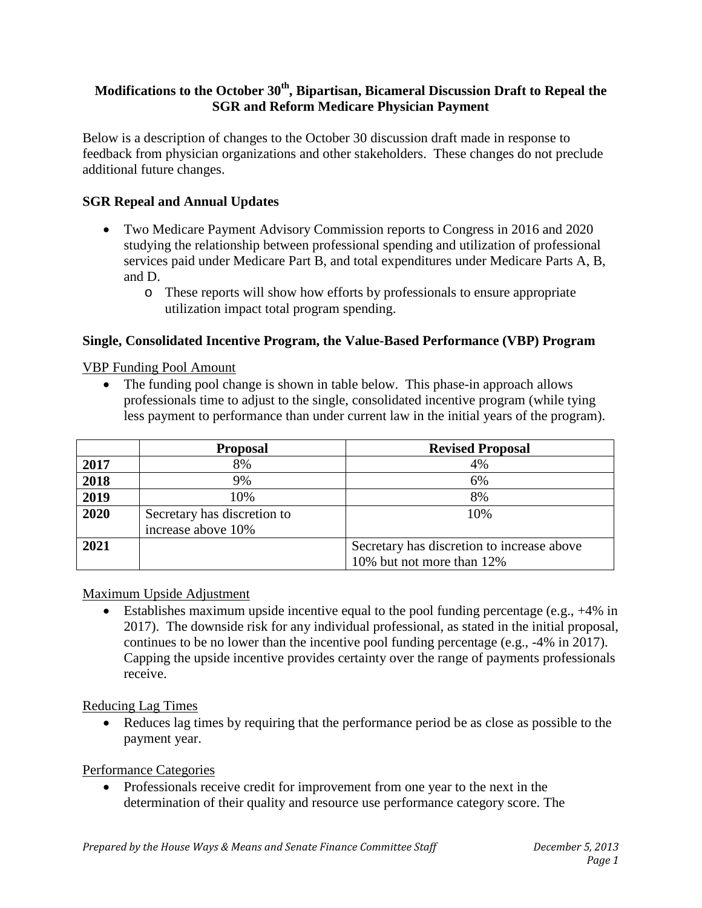# **Modifications to the October 30th, Bipartisan, Bicameral Discussion Draft to Repeal the SGR and Reform Medicare Physician Payment**

Below is a description of changes to the October 30 discussion draft made in response to feedback from physician organizations and other stakeholders. These changes do not preclude additional future changes.

#### **SGR Repeal and Annual Updates**

- Two Medicare Payment Advisory Commission reports to Congress in 2016 and 2020 studying the relationship between professional spending and utilization of professional services paid under Medicare Part B, and total expenditures under Medicare Parts A, B, and D.
	- o These reports will show how efforts by professionals to ensure appropriate utilization impact total program spending.

#### **Single, Consolidated Incentive Program, the Value-Based Performance (VBP) Program**

VBP Funding Pool Amount

• The funding pool change is shown in table below. This phase-in approach allows professionals time to adjust to the single, consolidated incentive program (while tying less payment to performance than under current law in the initial years of the program).

|      | <b>Proposal</b>             | <b>Revised Proposal</b>                    |
|------|-----------------------------|--------------------------------------------|
| 2017 | 8%                          | 4%                                         |
| 2018 | 9%                          | 6%                                         |
| 2019 | 10%                         | 8%                                         |
| 2020 | Secretary has discretion to | 10%                                        |
|      | increase above 10%          |                                            |
| 2021 |                             | Secretary has discretion to increase above |
|      |                             | 10% but not more than 12%                  |

Maximum Upside Adjustment

• Establishes maximum upside incentive equal to the pool funding percentage (e.g., +4% in 2017). The downside risk for any individual professional, as stated in the initial proposal, continues to be no lower than the incentive pool funding percentage (e.g., -4% in 2017). Capping the upside incentive provides certainty over the range of payments professionals receive.

#### Reducing Lag Times

• Reduces lag times by requiring that the performance period be as close as possible to the payment year.

#### Performance Categories

• Professionals receive credit for improvement from one year to the next in the determination of their quality and resource use performance category score. The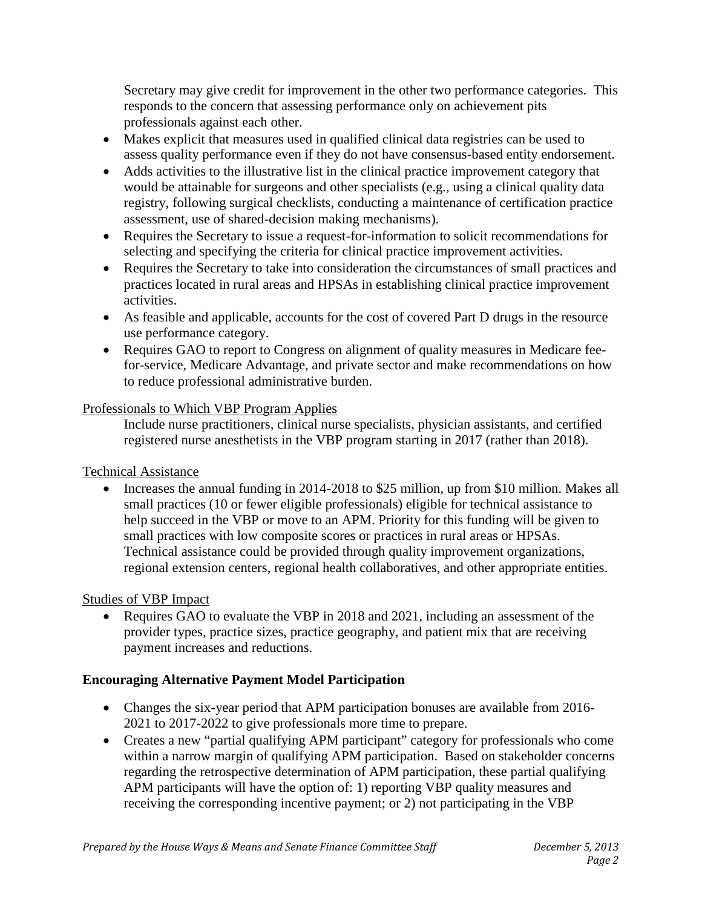Secretary may give credit for improvement in the other two performance categories. This responds to the concern that assessing performance only on achievement pits professionals against each other.

- Makes explicit that measures used in qualified clinical data registries can be used to assess quality performance even if they do not have consensus-based entity endorsement.
- Adds activities to the illustrative list in the clinical practice improvement category that would be attainable for surgeons and other specialists (e.g., using a clinical quality data registry, following surgical checklists, conducting a maintenance of certification practice assessment, use of shared-decision making mechanisms).
- Requires the Secretary to issue a request-for-information to solicit recommendations for selecting and specifying the criteria for clinical practice improvement activities.
- Requires the Secretary to take into consideration the circumstances of small practices and practices located in rural areas and HPSAs in establishing clinical practice improvement activities.
- As feasible and applicable, accounts for the cost of covered Part D drugs in the resource use performance category.
- Requires GAO to report to Congress on alignment of quality measures in Medicare feefor-service, Medicare Advantage, and private sector and make recommendations on how to reduce professional administrative burden.

#### Professionals to Which VBP Program Applies

Include nurse practitioners, clinical nurse specialists, physician assistants, and certified registered nurse anesthetists in the VBP program starting in 2017 (rather than 2018).

#### Technical Assistance

• Increases the annual funding in 2014-2018 to \$25 million, up from \$10 million. Makes all small practices (10 or fewer eligible professionals) eligible for technical assistance to help succeed in the VBP or move to an APM. Priority for this funding will be given to small practices with low composite scores or practices in rural areas or HPSAs. Technical assistance could be provided through quality improvement organizations, regional extension centers, regional health collaboratives, and other appropriate entities.

# Studies of VBP Impact

• Requires GAO to evaluate the VBP in 2018 and 2021, including an assessment of the provider types, practice sizes, practice geography, and patient mix that are receiving payment increases and reductions.

# **Encouraging Alternative Payment Model Participation**

- Changes the six-year period that APM participation bonuses are available from 2016- 2021 to 2017-2022 to give professionals more time to prepare.
- Creates a new "partial qualifying APM participant" category for professionals who come within a narrow margin of qualifying APM participation. Based on stakeholder concerns regarding the retrospective determination of APM participation, these partial qualifying APM participants will have the option of: 1) reporting VBP quality measures and receiving the corresponding incentive payment; or 2) not participating in the VBP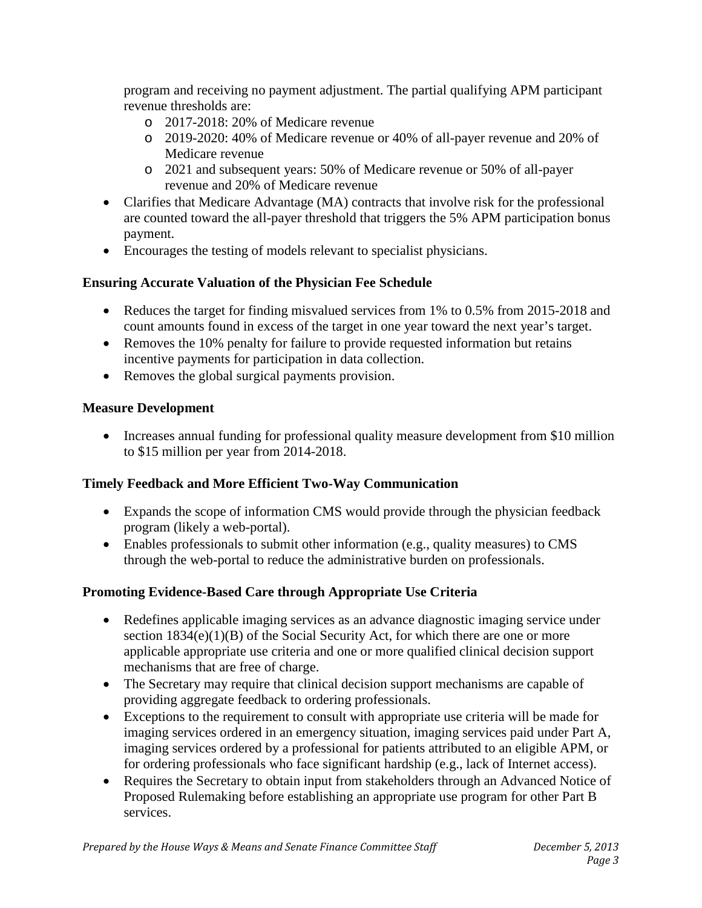program and receiving no payment adjustment. The partial qualifying APM participant revenue thresholds are:

- o 2017-2018: 20% of Medicare revenue
- o 2019-2020: 40% of Medicare revenue or 40% of all-payer revenue and 20% of Medicare revenue
- o 2021 and subsequent years: 50% of Medicare revenue or 50% of all-payer revenue and 20% of Medicare revenue
- Clarifies that Medicare Advantage (MA) contracts that involve risk for the professional are counted toward the all-payer threshold that triggers the 5% APM participation bonus payment.
- Encourages the testing of models relevant to specialist physicians.

# **Ensuring Accurate Valuation of the Physician Fee Schedule**

- Reduces the target for finding misvalued services from 1% to 0.5% from 2015-2018 and count amounts found in excess of the target in one year toward the next year's target.
- Removes the 10% penalty for failure to provide requested information but retains incentive payments for participation in data collection.
- Removes the global surgical payments provision.

#### **Measure Development**

• Increases annual funding for professional quality measure development from \$10 million to \$15 million per year from 2014-2018.

# **Timely Feedback and More Efficient Two-Way Communication**

- Expands the scope of information CMS would provide through the physician feedback program (likely a web-portal).
- Enables professionals to submit other information (e.g., quality measures) to CMS through the web-portal to reduce the administrative burden on professionals.

# **Promoting Evidence-Based Care through Appropriate Use Criteria**

- Redefines applicable imaging services as an advance diagnostic imaging service under section 1834(e)(1)(B) of the Social Security Act, for which there are one or more applicable appropriate use criteria and one or more qualified clinical decision support mechanisms that are free of charge.
- The Secretary may require that clinical decision support mechanisms are capable of providing aggregate feedback to ordering professionals.
- Exceptions to the requirement to consult with appropriate use criteria will be made for imaging services ordered in an emergency situation, imaging services paid under Part A, imaging services ordered by a professional for patients attributed to an eligible APM, or for ordering professionals who face significant hardship (e.g., lack of Internet access).
- Requires the Secretary to obtain input from stakeholders through an Advanced Notice of Proposed Rulemaking before establishing an appropriate use program for other Part B services.